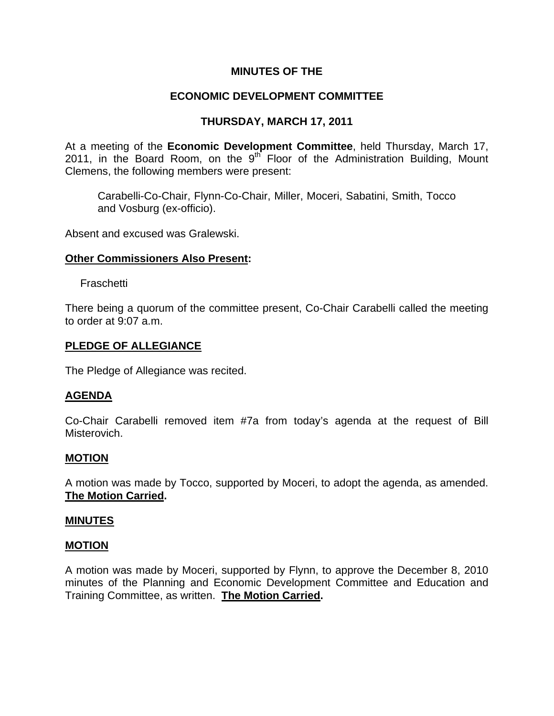# **MINUTES OF THE**

# **ECONOMIC DEVELOPMENT COMMITTEE**

# **THURSDAY, MARCH 17, 2011**

At a meeting of the **Economic Development Committee**, held Thursday, March 17, 2011, in the Board Room, on the  $9<sup>th</sup>$  Floor of the Administration Building, Mount Clemens, the following members were present:

Carabelli-Co-Chair, Flynn-Co-Chair, Miller, Moceri, Sabatini, Smith, Tocco and Vosburg (ex-officio).

Absent and excused was Gralewski.

## **Other Commissioners Also Present:**

Fraschetti

There being a quorum of the committee present, Co-Chair Carabelli called the meeting to order at 9:07 a.m.

## **PLEDGE OF ALLEGIANCE**

The Pledge of Allegiance was recited.

# **AGENDA**

Co-Chair Carabelli removed item #7a from today's agenda at the request of Bill Misterovich.

### **MOTION**

A motion was made by Tocco, supported by Moceri, to adopt the agenda, as amended. **The Motion Carried.** 

### **MINUTES**

### **MOTION**

A motion was made by Moceri, supported by Flynn, to approve the December 8, 2010 minutes of the Planning and Economic Development Committee and Education and Training Committee, as written. **The Motion Carried.**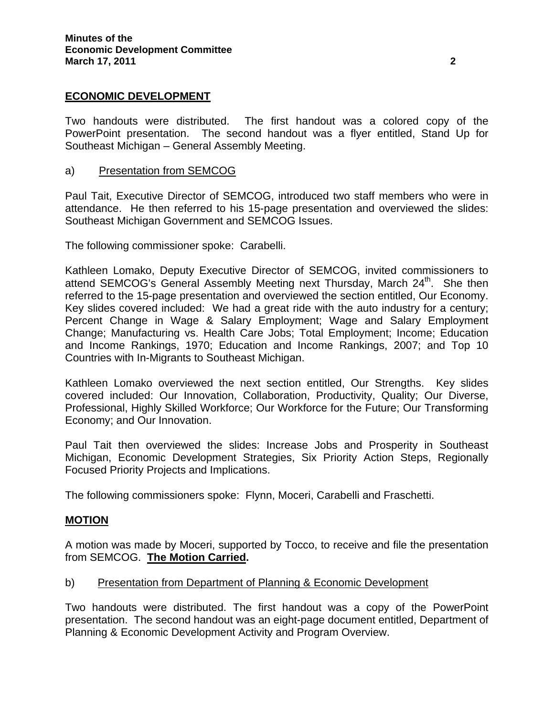## **ECONOMIC DEVELOPMENT**

Two handouts were distributed. The first handout was a colored copy of the PowerPoint presentation. The second handout was a flyer entitled, Stand Up for Southeast Michigan – General Assembly Meeting.

### a) Presentation from SEMCOG

Paul Tait, Executive Director of SEMCOG, introduced two staff members who were in attendance. He then referred to his 15-page presentation and overviewed the slides: Southeast Michigan Government and SEMCOG Issues.

The following commissioner spoke: Carabelli.

Kathleen Lomako, Deputy Executive Director of SEMCOG, invited commissioners to attend SEMCOG's General Assembly Meeting next Thursday, March 24<sup>th</sup>. She then referred to the 15-page presentation and overviewed the section entitled, Our Economy. Key slides covered included: We had a great ride with the auto industry for a century; Percent Change in Wage & Salary Employment; Wage and Salary Employment Change; Manufacturing vs. Health Care Jobs; Total Employment; Income; Education and Income Rankings, 1970; Education and Income Rankings, 2007; and Top 10 Countries with In-Migrants to Southeast Michigan.

Kathleen Lomako overviewed the next section entitled, Our Strengths. Key slides covered included: Our Innovation, Collaboration, Productivity, Quality; Our Diverse, Professional, Highly Skilled Workforce; Our Workforce for the Future; Our Transforming Economy; and Our Innovation.

Paul Tait then overviewed the slides: Increase Jobs and Prosperity in Southeast Michigan, Economic Development Strategies, Six Priority Action Steps, Regionally Focused Priority Projects and Implications.

The following commissioners spoke: Flynn, Moceri, Carabelli and Fraschetti.

### **MOTION**

A motion was made by Moceri, supported by Tocco, to receive and file the presentation from SEMCOG. **The Motion Carried.** 

### b) Presentation from Department of Planning & Economic Development

Two handouts were distributed. The first handout was a copy of the PowerPoint presentation. The second handout was an eight-page document entitled, Department of Planning & Economic Development Activity and Program Overview.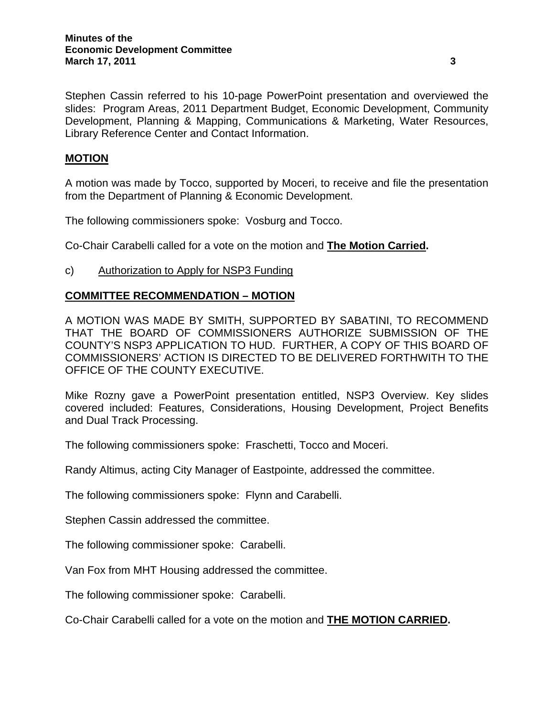Stephen Cassin referred to his 10-page PowerPoint presentation and overviewed the slides: Program Areas, 2011 Department Budget, Economic Development, Community Development, Planning & Mapping, Communications & Marketing, Water Resources, Library Reference Center and Contact Information.

## **MOTION**

A motion was made by Tocco, supported by Moceri, to receive and file the presentation from the Department of Planning & Economic Development.

The following commissioners spoke: Vosburg and Tocco.

Co-Chair Carabelli called for a vote on the motion and **The Motion Carried.** 

## c) Authorization to Apply for NSP3 Funding

## **COMMITTEE RECOMMENDATION – MOTION**

A MOTION WAS MADE BY SMITH, SUPPORTED BY SABATINI, TO RECOMMEND THAT THE BOARD OF COMMISSIONERS AUTHORIZE SUBMISSION OF THE COUNTY'S NSP3 APPLICATION TO HUD. FURTHER, A COPY OF THIS BOARD OF COMMISSIONERS' ACTION IS DIRECTED TO BE DELIVERED FORTHWITH TO THE OFFICE OF THE COUNTY EXECUTIVE.

Mike Rozny gave a PowerPoint presentation entitled, NSP3 Overview. Key slides covered included: Features, Considerations, Housing Development, Project Benefits and Dual Track Processing.

The following commissioners spoke: Fraschetti, Tocco and Moceri.

Randy Altimus, acting City Manager of Eastpointe, addressed the committee.

The following commissioners spoke: Flynn and Carabelli.

Stephen Cassin addressed the committee.

The following commissioner spoke: Carabelli.

Van Fox from MHT Housing addressed the committee.

The following commissioner spoke: Carabelli.

Co-Chair Carabelli called for a vote on the motion and **THE MOTION CARRIED.**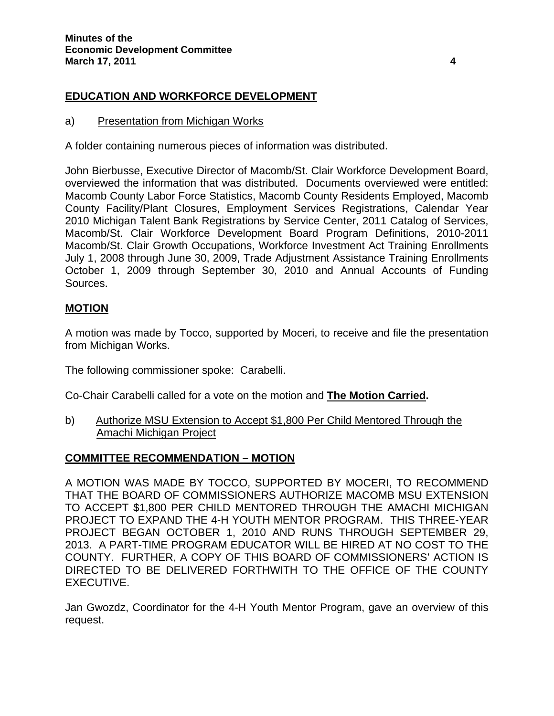# **EDUCATION AND WORKFORCE DEVELOPMENT**

#### a) Presentation from Michigan Works

A folder containing numerous pieces of information was distributed.

John Bierbusse, Executive Director of Macomb/St. Clair Workforce Development Board, overviewed the information that was distributed. Documents overviewed were entitled: Macomb County Labor Force Statistics, Macomb County Residents Employed, Macomb County Facility/Plant Closures, Employment Services Registrations, Calendar Year 2010 Michigan Talent Bank Registrations by Service Center, 2011 Catalog of Services, Macomb/St. Clair Workforce Development Board Program Definitions, 2010-2011 Macomb/St. Clair Growth Occupations, Workforce Investment Act Training Enrollments July 1, 2008 through June 30, 2009, Trade Adjustment Assistance Training Enrollments October 1, 2009 through September 30, 2010 and Annual Accounts of Funding Sources.

## **MOTION**

A motion was made by Tocco, supported by Moceri, to receive and file the presentation from Michigan Works.

The following commissioner spoke: Carabelli.

Co-Chair Carabelli called for a vote on the motion and **The Motion Carried.** 

b) Authorize MSU Extension to Accept \$1,800 Per Child Mentored Through the Amachi Michigan Project

### **COMMITTEE RECOMMENDATION – MOTION**

A MOTION WAS MADE BY TOCCO, SUPPORTED BY MOCERI, TO RECOMMEND THAT THE BOARD OF COMMISSIONERS AUTHORIZE MACOMB MSU EXTENSION TO ACCEPT \$1,800 PER CHILD MENTORED THROUGH THE AMACHI MICHIGAN PROJECT TO EXPAND THE 4-H YOUTH MENTOR PROGRAM. THIS THREE-YEAR PROJECT BEGAN OCTOBER 1, 2010 AND RUNS THROUGH SEPTEMBER 29, 2013. A PART-TIME PROGRAM EDUCATOR WILL BE HIRED AT NO COST TO THE COUNTY. FURTHER, A COPY OF THIS BOARD OF COMMISSIONERS' ACTION IS DIRECTED TO BE DELIVERED FORTHWITH TO THE OFFICE OF THE COUNTY EXECUTIVE.

Jan Gwozdz, Coordinator for the 4-H Youth Mentor Program, gave an overview of this request.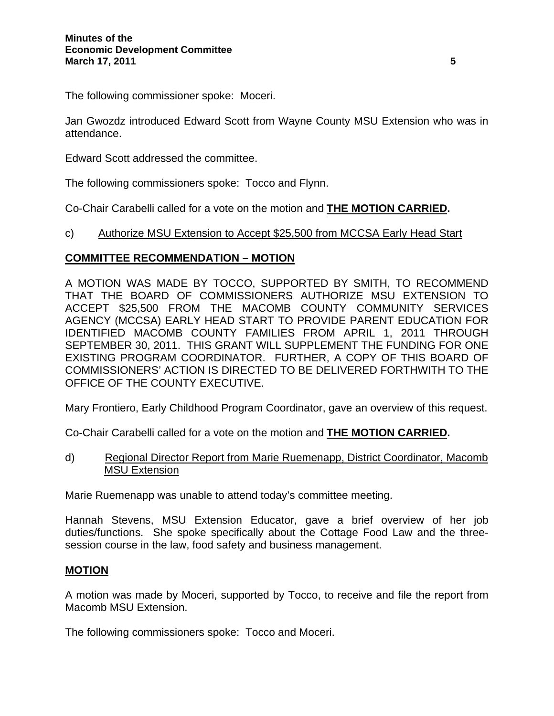The following commissioner spoke: Moceri.

Jan Gwozdz introduced Edward Scott from Wayne County MSU Extension who was in attendance.

Edward Scott addressed the committee.

The following commissioners spoke: Tocco and Flynn.

Co-Chair Carabelli called for a vote on the motion and **THE MOTION CARRIED.** 

### c) Authorize MSU Extension to Accept \$25,500 from MCCSA Early Head Start

## **COMMITTEE RECOMMENDATION – MOTION**

A MOTION WAS MADE BY TOCCO, SUPPORTED BY SMITH, TO RECOMMEND THAT THE BOARD OF COMMISSIONERS AUTHORIZE MSU EXTENSION TO ACCEPT \$25,500 FROM THE MACOMB COUNTY COMMUNITY SERVICES AGENCY (MCCSA) EARLY HEAD START TO PROVIDE PARENT EDUCATION FOR IDENTIFIED MACOMB COUNTY FAMILIES FROM APRIL 1, 2011 THROUGH SEPTEMBER 30, 2011. THIS GRANT WILL SUPPLEMENT THE FUNDING FOR ONE EXISTING PROGRAM COORDINATOR. FURTHER, A COPY OF THIS BOARD OF COMMISSIONERS' ACTION IS DIRECTED TO BE DELIVERED FORTHWITH TO THE OFFICE OF THE COUNTY EXECUTIVE.

Mary Frontiero, Early Childhood Program Coordinator, gave an overview of this request.

Co-Chair Carabelli called for a vote on the motion and **THE MOTION CARRIED.** 

d) Regional Director Report from Marie Ruemenapp, District Coordinator, Macomb MSU Extension

Marie Ruemenapp was unable to attend today's committee meeting.

Hannah Stevens, MSU Extension Educator, gave a brief overview of her job duties/functions. She spoke specifically about the Cottage Food Law and the threesession course in the law, food safety and business management.

### **MOTION**

A motion was made by Moceri, supported by Tocco, to receive and file the report from Macomb MSU Extension.

The following commissioners spoke: Tocco and Moceri.